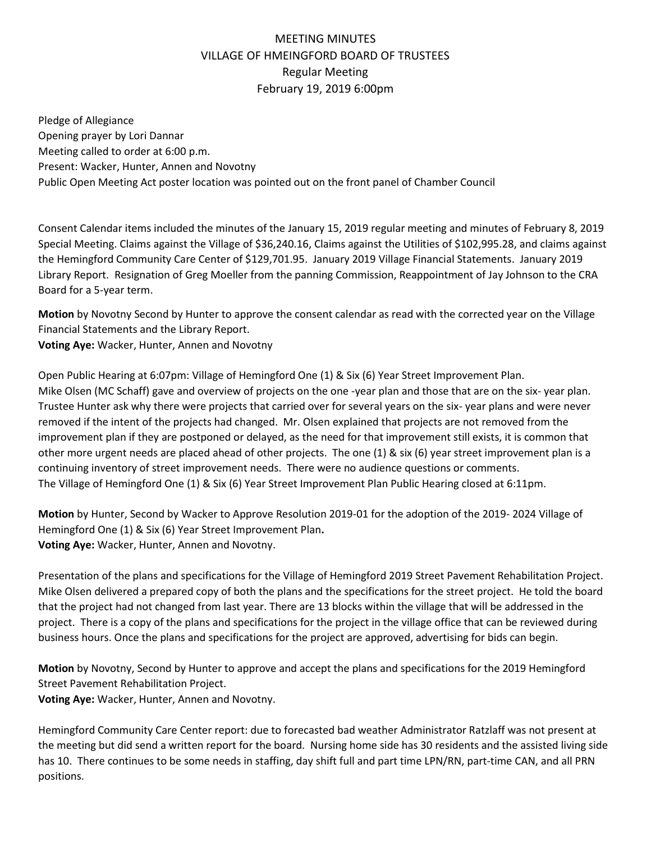## MEETING MINUTES VILLAGE OF HMEINGFORD BOARD OF TRUSTEES Regular Meeting February 19, 2019 6:00pm

Pledge of Allegiance Opening prayer by Lori Dannar Meeting called to order at 6:00 p.m. Present: Wacker, Hunter, Annen and Novotny Public Open Meeting Act poster location was pointed out on the front panel of Chamber Council

Consent Calendar items included the minutes of the January 15, 2019 regular meeting and minutes of February 8, 2019 Special Meeting. Claims against the Village of \$36,240.16, Claims against the Utilities of \$102,995.28, and claims against the Hemingford Community Care Center of \$129,701.95. January 2019 Village Financial Statements. January 2019 Library Report. Resignation of Greg Moeller from the panning Commission, Reappointment of Jay Johnson to the CRA Board for a 5-year term.

**Motion** by Novotny Second by Hunter to approve the consent calendar as read with the corrected year on the Village Financial Statements and the Library Report.

**Voting Aye:** Wacker, Hunter, Annen and Novotny

Open Public Hearing at 6:07pm: Village of Hemingford One (1) & Six (6) Year Street Improvement Plan. Mike Olsen (MC Schaff) gave and overview of projects on the one -year plan and those that are on the six- year plan. Trustee Hunter ask why there were projects that carried over for several years on the six- year plans and were never removed if the intent of the projects had changed. Mr. Olsen explained that projects are not removed from the improvement plan if they are postponed or delayed, as the need for that improvement still exists, it is common that other more urgent needs are placed ahead of other projects. The one (1) & six (6) year street improvement plan is a continuing inventory of street improvement needs. There were no audience questions or comments. The Village of Hemingford One (1) & Six (6) Year Street Improvement Plan Public Hearing closed at 6:11pm.

**Motion** by Hunter, Second by Wacker to Approve Resolution 2019-01 for the adoption of the 2019- 2024 Village of Hemingford One (1) & Six (6) Year Street Improvement Plan**. Voting Aye:** Wacker, Hunter, Annen and Novotny.

Presentation of the plans and specifications for the Village of Hemingford 2019 Street Pavement Rehabilitation Project. Mike Olsen delivered a prepared copy of both the plans and the specifications for the street project. He told the board that the project had not changed from last year. There are 13 blocks within the village that will be addressed in the project. There is a copy of the plans and specifications for the project in the village office that can be reviewed during business hours. Once the plans and specifications for the project are approved, advertising for bids can begin.

**Motion** by Novotny, Second by Hunter to approve and accept the plans and specifications for the 2019 Hemingford Street Pavement Rehabilitation Project.

**Voting Aye:** Wacker, Hunter, Annen and Novotny.

Hemingford Community Care Center report: due to forecasted bad weather Administrator Ratzlaff was not present at the meeting but did send a written report for the board. Nursing home side has 30 residents and the assisted living side has 10. There continues to be some needs in staffing, day shift full and part time LPN/RN, part-time CAN, and all PRN positions.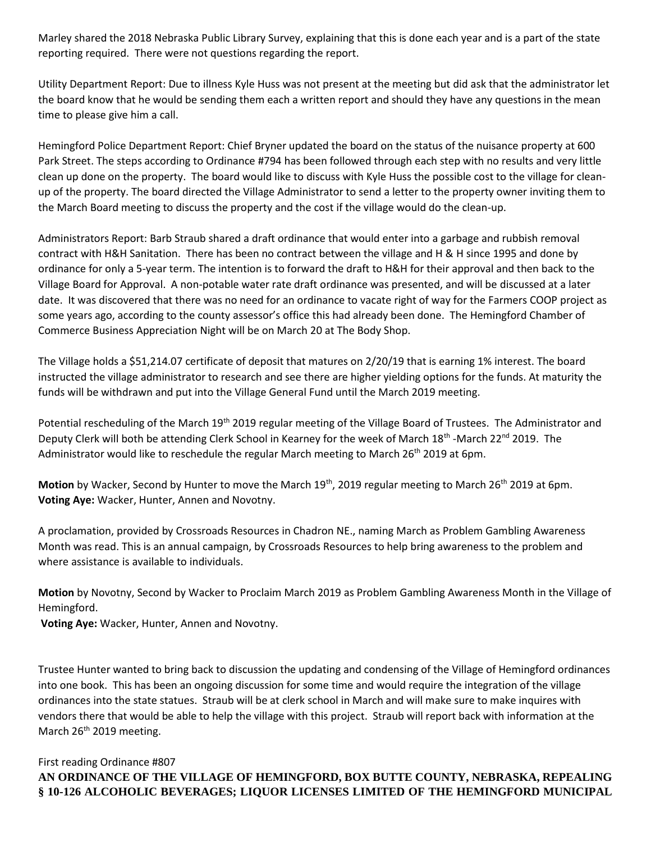Marley shared the 2018 Nebraska Public Library Survey, explaining that this is done each year and is a part of the state reporting required. There were not questions regarding the report.

Utility Department Report: Due to illness Kyle Huss was not present at the meeting but did ask that the administrator let the board know that he would be sending them each a written report and should they have any questions in the mean time to please give him a call.

Hemingford Police Department Report: Chief Bryner updated the board on the status of the nuisance property at 600 Park Street. The steps according to Ordinance #794 has been followed through each step with no results and very little clean up done on the property. The board would like to discuss with Kyle Huss the possible cost to the village for cleanup of the property. The board directed the Village Administrator to send a letter to the property owner inviting them to the March Board meeting to discuss the property and the cost if the village would do the clean-up.

Administrators Report: Barb Straub shared a draft ordinance that would enter into a garbage and rubbish removal contract with H&H Sanitation. There has been no contract between the village and H & H since 1995 and done by ordinance for only a 5-year term. The intention is to forward the draft to H&H for their approval and then back to the Village Board for Approval. A non-potable water rate draft ordinance was presented, and will be discussed at a later date. It was discovered that there was no need for an ordinance to vacate right of way for the Farmers COOP project as some years ago, according to the county assessor's office this had already been done. The Hemingford Chamber of Commerce Business Appreciation Night will be on March 20 at The Body Shop.

The Village holds a \$51,214.07 certificate of deposit that matures on 2/20/19 that is earning 1% interest. The board instructed the village administrator to research and see there are higher yielding options for the funds. At maturity the funds will be withdrawn and put into the Village General Fund until the March 2019 meeting.

Potential rescheduling of the March 19<sup>th</sup> 2019 regular meeting of the Village Board of Trustees. The Administrator and Deputy Clerk will both be attending Clerk School in Kearney for the week of March 18<sup>th</sup> -March 22<sup>nd</sup> 2019. The Administrator would like to reschedule the regular March meeting to March 26<sup>th</sup> 2019 at 6pm.

Motion by Wacker, Second by Hunter to move the March 19<sup>th</sup>, 2019 regular meeting to March 26<sup>th</sup> 2019 at 6pm. **Voting Aye:** Wacker, Hunter, Annen and Novotny.

A proclamation, provided by Crossroads Resources in Chadron NE., naming March as Problem Gambling Awareness Month was read. This is an annual campaign, by Crossroads Resources to help bring awareness to the problem and where assistance is available to individuals.

**Motion** by Novotny, Second by Wacker to Proclaim March 2019 as Problem Gambling Awareness Month in the Village of Hemingford.

**Voting Aye:** Wacker, Hunter, Annen and Novotny.

Trustee Hunter wanted to bring back to discussion the updating and condensing of the Village of Hemingford ordinances into one book. This has been an ongoing discussion for some time and would require the integration of the village ordinances into the state statues. Straub will be at clerk school in March and will make sure to make inquires with vendors there that would be able to help the village with this project. Straub will report back with information at the March 26<sup>th</sup> 2019 meeting.

## First reading Ordinance #807 **AN ORDINANCE OF THE VILLAGE OF HEMINGFORD, BOX BUTTE COUNTY, NEBRASKA, REPEALING § 10-126 ALCOHOLIC BEVERAGES; LIQUOR LICENSES LIMITED OF THE HEMINGFORD MUNICIPAL**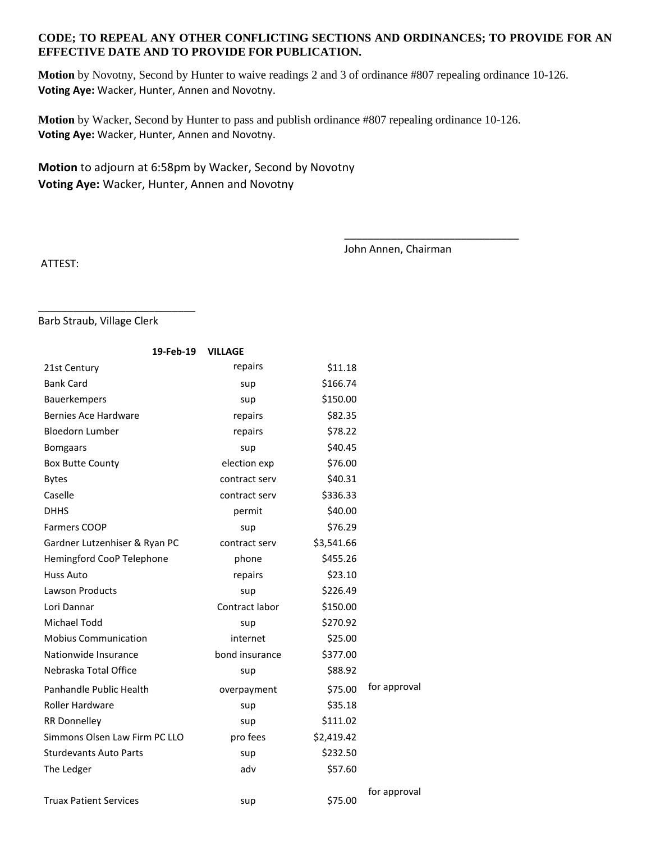## **CODE; TO REPEAL ANY OTHER CONFLICTING SECTIONS AND ORDINANCES; TO PROVIDE FOR AN EFFECTIVE DATE AND TO PROVIDE FOR PUBLICATION.**

**Motion** by Novotny, Second by Hunter to waive readings 2 and 3 of ordinance #807 repealing ordinance 10-126. **Voting Aye:** Wacker, Hunter, Annen and Novotny.

**Motion** by Wacker, Second by Hunter to pass and publish ordinance #807 repealing ordinance 10-126. **Voting Aye:** Wacker, Hunter, Annen and Novotny.

**Motion** to adjourn at 6:58pm by Wacker, Second by Novotny **Voting Aye:** Wacker, Hunter, Annen and Novotny

John Annen, Chairman

\_\_\_\_\_\_\_\_\_\_\_\_\_\_\_\_\_\_\_\_\_\_\_\_\_\_\_\_\_\_

ATTEST:

Barb Straub, Village Clerk

\_\_\_\_\_\_\_\_\_\_\_\_\_\_\_\_\_\_\_\_\_\_\_\_\_\_\_

| 19-Feb-19                     | <b>VILLAGE</b> |            |              |
|-------------------------------|----------------|------------|--------------|
| 21st Century                  | repairs        | \$11.18    |              |
| <b>Bank Card</b>              | sup            | \$166.74   |              |
| Bauerkempers                  | sup            | \$150.00   |              |
| <b>Bernies Ace Hardware</b>   | repairs        | \$82.35    |              |
| <b>Bloedorn Lumber</b>        | repairs        | \$78.22    |              |
| <b>Bomgaars</b>               | sup            | \$40.45    |              |
| <b>Box Butte County</b>       | election exp   | \$76.00    |              |
| <b>Bytes</b>                  | contract serv  | \$40.31    |              |
| Caselle                       | contract serv  | \$336.33   |              |
| <b>DHHS</b>                   | permit         | \$40.00    |              |
| <b>Farmers COOP</b>           | sup            | \$76.29    |              |
| Gardner Lutzenhiser & Ryan PC | contract serv  | \$3,541.66 |              |
| Hemingford CooP Telephone     | phone          | \$455.26   |              |
| <b>Huss Auto</b>              | repairs        | \$23.10    |              |
| <b>Lawson Products</b>        | sup            | \$226.49   |              |
| Lori Dannar                   | Contract labor | \$150.00   |              |
| Michael Todd                  | sup            | \$270.92   |              |
| <b>Mobius Communication</b>   | internet       | \$25.00    |              |
| Nationwide Insurance          | bond insurance | \$377.00   |              |
| Nebraska Total Office         | sup            | \$88.92    |              |
| Panhandle Public Health       | overpayment    | \$75.00    | for approval |
| <b>Roller Hardware</b>        | sup            | \$35.18    |              |
| <b>RR Donnelley</b>           | sup            | \$111.02   |              |
| Simmons Olsen Law Firm PC LLO | pro fees       | \$2,419.42 |              |
| <b>Sturdevants Auto Parts</b> | sup            | \$232.50   |              |
| The Ledger                    | adv            | \$57.60    |              |
| <b>Truax Patient Services</b> | sup            | \$75.00    | for approval |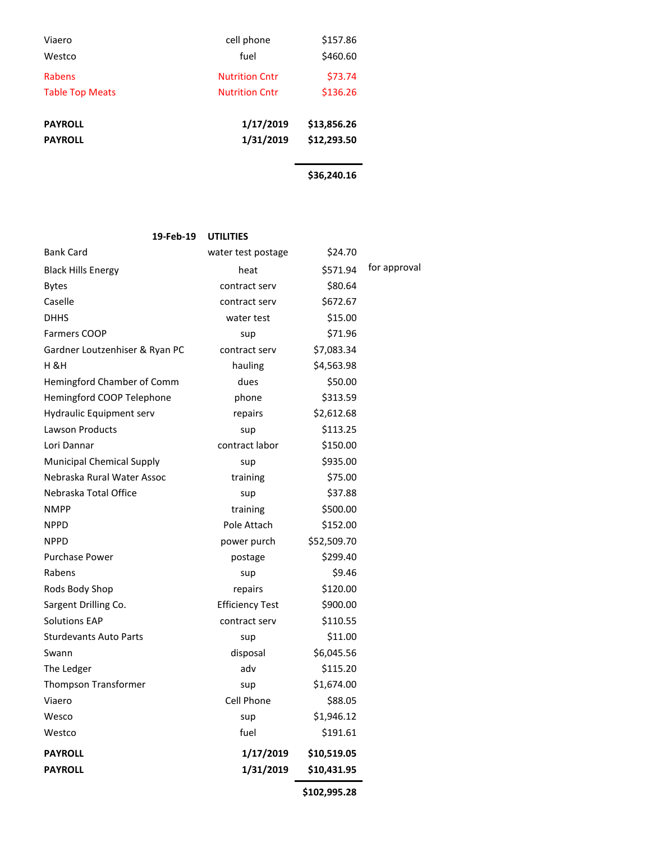| Viaero                 | cell phone            | \$157.86    |  |
|------------------------|-----------------------|-------------|--|
| Westco                 | fuel                  | \$460.60    |  |
| Rabens                 | <b>Nutrition Cntr</b> | \$73.74     |  |
| <b>Table Top Meats</b> | <b>Nutrition Cntr</b> | \$136.26    |  |
|                        |                       |             |  |
| <b>PAYROLL</b>         | 1/17/2019             | \$13,856.26 |  |
| <b>PAYROLL</b>         | 1/31/2019             | \$12,293.50 |  |
|                        |                       |             |  |
|                        |                       | \$36,240.16 |  |

| 19-Feb-19                      | <b>UTILITIES</b>       |             |              |
|--------------------------------|------------------------|-------------|--------------|
| <b>Bank Card</b>               | water test postage     | \$24.70     |              |
| <b>Black Hills Energy</b>      | heat                   | \$571.94    | for approval |
| <b>Bytes</b>                   | contract serv          | \$80.64     |              |
| Caselle                        | contract serv          | \$672.67    |              |
| <b>DHHS</b>                    | water test             | \$15.00     |              |
| <b>Farmers COOP</b>            | sup                    | \$71.96     |              |
| Gardner Loutzenhiser & Ryan PC | contract serv          | \$7,083.34  |              |
| H & H                          | hauling                | \$4,563.98  |              |
| Hemingford Chamber of Comm     | dues                   | \$50.00     |              |
| Hemingford COOP Telephone      | phone                  | \$313.59    |              |
| Hydraulic Equipment serv       | repairs                | \$2,612.68  |              |
| Lawson Products                | sup                    | \$113.25    |              |
| Lori Dannar                    | contract labor         | \$150.00    |              |
| Municipal Chemical Supply      | sup                    | \$935.00    |              |
| Nebraska Rural Water Assoc     | training               | \$75.00     |              |
| Nebraska Total Office          | sup                    | \$37.88     |              |
| <b>NMPP</b>                    | training               | \$500.00    |              |
| <b>NPPD</b>                    | Pole Attach            | \$152.00    |              |
| <b>NPPD</b>                    | power purch            | \$52,509.70 |              |
| <b>Purchase Power</b>          | postage                | \$299.40    |              |
| Rabens                         | sup                    | \$9.46      |              |
| Rods Body Shop                 | repairs                | \$120.00    |              |
| Sargent Drilling Co.           | <b>Efficiency Test</b> | \$900.00    |              |
| <b>Solutions EAP</b>           | contract serv          | \$110.55    |              |
| <b>Sturdevants Auto Parts</b>  | sup                    | \$11.00     |              |
| Swann                          | disposal               | \$6,045.56  |              |
| The Ledger                     | adv                    | \$115.20    |              |
| Thompson Transformer           | sup                    | \$1,674.00  |              |
| Viaero                         | Cell Phone             | \$88.05     |              |
| Wesco                          | sup                    | \$1,946.12  |              |
| Westco                         | fuel                   | \$191.61    |              |
| <b>PAYROLL</b>                 | 1/17/2019              | \$10,519.05 |              |
| <b>PAYROLL</b>                 | 1/31/2019              | \$10,431.95 |              |
|                                |                        |             |              |

**\$102,995.28**